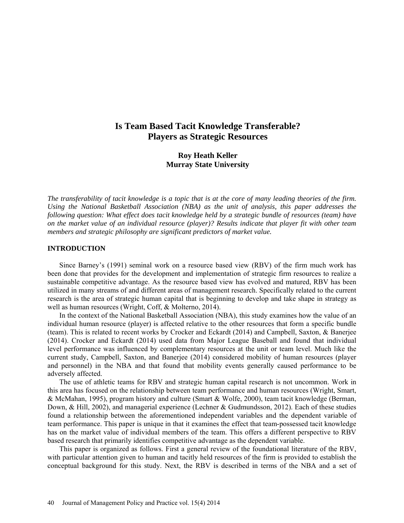# **Is Team Based Tacit Knowledge Transferable? Players as Strategic Resources**

## **Roy Heath Keller Murray State University**

*The transferability of tacit knowledge is a topic that is at the core of many leading theories of the firm. Using the National Basketball Association (NBA) as the unit of analysis, this paper addresses the following question: What effect does tacit knowledge held by a strategic bundle of resources (team) have on the market value of an individual resource (player)? Results indicate that player fit with other team members and strategic philosophy are significant predictors of market value.*

## **INTRODUCTION**

Since Barney's (1991) seminal work on a resource based view (RBV) of the firm much work has been done that provides for the development and implementation of strategic firm resources to realize a sustainable competitive advantage. As the resource based view has evolved and matured, RBV has been utilized in many streams of and different areas of management research. Specifically related to the current research is the area of strategic human capital that is beginning to develop and take shape in strategy as well as human resources (Wright, Coff, & Molterno, 2014).

In the context of the National Basketball Association (NBA), this study examines how the value of an individual human resource (player) is affected relative to the other resources that form a specific bundle (team). This is related to recent works by Crocker and Eckardt (2014) and Campbell, Saxton, & Banerjee (2014). Crocker and Eckardt (2014) used data from Major League Baseball and found that individual level performance was influenced by complementary resources at the unit or team level. Much like the current study, Campbell, Saxton, and Banerjee (2014) considered mobility of human resources (player and personnel) in the NBA and that found that mobility events generally caused performance to be adversely affected.

The use of athletic teams for RBV and strategic human capital research is not uncommon. Work in this area has focused on the relationship between team performance and human resources (Wright, Smart, & McMahan, 1995), program history and culture (Smart & Wolfe, 2000), team tacit knowledge (Berman, Down, & Hill, 2002), and managerial experience (Lechner & Gudmundsson, 2012). Each of these studies found a relationship between the aforementioned independent variables and the dependent variable of team performance. This paper is unique in that it examines the effect that team-possessed tacit knowledge has on the market value of individual members of the team. This offers a different perspective to RBV based research that primarily identifies competitive advantage as the dependent variable.

This paper is organized as follows. First a general review of the foundational literature of the RBV, with particular attention given to human and tacitly held resources of the firm is provided to establish the conceptual background for this study. Next, the RBV is described in terms of the NBA and a set of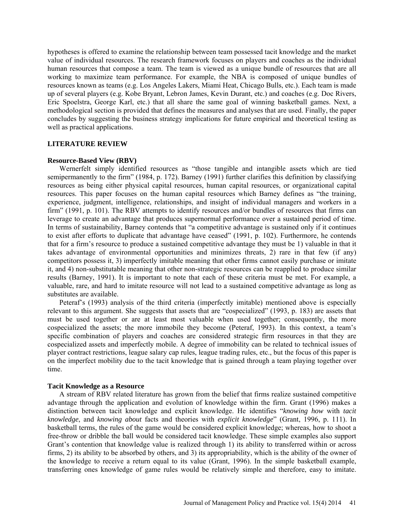hypotheses is offered to examine the relationship between team possessed tacit knowledge and the market value of individual resources. The research framework focuses on players and coaches as the individual human resources that compose a team. The team is viewed as a unique bundle of resources that are all working to maximize team performance. For example, the NBA is composed of unique bundles of resources known as teams (e.g. Los Angeles Lakers, Miami Heat, Chicago Bulls, etc.). Each team is made up of several players (e.g. Kobe Bryant, Lebron James, Kevin Durant, etc.) and coaches (e.g. Doc Rivers, Eric Spoelstra, George Karl, etc.) that all share the same goal of winning basketball games. Next, a methodological section is provided that defines the measures and analyses that are used. Finally, the paper concludes by suggesting the business strategy implications for future empirical and theoretical testing as well as practical applications.

## **LITERATURE REVIEW**

#### **Resource-Based View (RBV)**

Wernerfelt simply identified resources as "those tangible and intangible assets which are tied semipermanently to the firm" (1984, p. 172). Barney (1991) further clarifies this definition by classifying resources as being either physical capital resources, human capital resources, or organizational capital resources. This paper focuses on the human capital resources which Barney defines as "the training, experience, judgment, intelligence, relationships, and insight of individual managers and workers in a firm" (1991, p. 101). The RBV attempts to identify resources and/or bundles of resources that firms can leverage to create an advantage that produces supernormal performance over a sustained period of time. In terms of sustainability, Barney contends that "a competitive advantage is sustained only if it continues to exist after efforts to duplicate that advantage have ceased" (1991, p. 102). Furthermore, he contends that for a firm's resource to produce a sustained competitive advantage they must be 1) valuable in that it takes advantage of environmental opportunities and minimizes threats, 2) rare in that few (if any) competitors possess it, 3) imperfectly imitable meaning that other firms cannot easily purchase or imitate it, and 4) non-substitutable meaning that other non-strategic resources can be reapplied to produce similar results (Barney, 1991). It is important to note that each of these criteria must be met. For example, a valuable, rare, and hard to imitate resource will not lead to a sustained competitive advantage as long as substitutes are available.

Peteraf's (1993) analysis of the third criteria (imperfectly imitable) mentioned above is especially relevant to this argument. She suggests that assets that are "cospecialized" (1993, p. 183) are assets that must be used together or are at least most valuable when used together; consequently, the more cospecialized the assets; the more immobile they become (Peteraf, 1993). In this context, a team's specific combination of players and coaches are considered strategic firm resources in that they are cospecialized assets and imperfectly mobile. A degree of immobility can be related to technical issues of player contract restrictions, league salary cap rules, league trading rules, etc., but the focus of this paper is on the imperfect mobility due to the tacit knowledge that is gained through a team playing together over time.

## **Tacit Knowledge as a Resource**

A stream of RBV related literature has grown from the belief that firms realize sustained competitive advantage through the application and evolution of knowledge within the firm. Grant (1996) makes a distinction between tacit knowledge and explicit knowledge. He identifies "*knowing how* with *tacit knowledge*, and *knowing about* facts and theories with *explicit knowledge*" (Grant, 1996, p. 111). In basketball terms, the rules of the game would be considered explicit knowledge; whereas, how to shoot a free-throw or dribble the ball would be considered tacit knowledge. These simple examples also support Grant's contention that knowledge value is realized through 1) its ability to transferred within or across firms, 2) its ability to be absorbed by others, and 3) its appropriability, which is the ability of the owner of the knowledge to receive a return equal to its value (Grant, 1996). In the simple basketball example, transferring ones knowledge of game rules would be relatively simple and therefore, easy to imitate.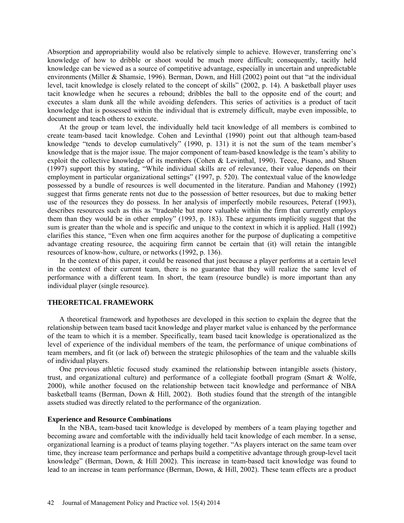Absorption and appropriability would also be relatively simple to achieve. However, transferring one's knowledge of how to dribble or shoot would be much more difficult; consequently, tacitly held knowledge can be viewed as a source of competitive advantage, especially in uncertain and unpredictable environments (Miller & Shamsie, 1996). Berman, Down, and Hill (2002) point out that "at the individual level, tacit knowledge is closely related to the concept of skills" (2002, p. 14). A basketball player uses tacit knowledge when he secures a rebound; dribbles the ball to the opposite end of the court; and executes a slam dunk all the while avoiding defenders. This series of activities is a product of tacit knowledge that is possessed within the individual that is extremely difficult, maybe even impossible, to document and teach others to execute.

At the group or team level, the individually held tacit knowledge of all members is combined to create team-based tacit knowledge. Cohen and Levinthal (1990) point out that although team-based knowledge "tends to develop cumulatively" (1990, p. 131) it is not the sum of the team member's knowledge that is the major issue. The major component of team-based knowledge is the team's ability to exploit the collective knowledge of its members (Cohen & Levinthal, 1990). Teece, Pisano, and Shuen (1997) support this by stating, "While individual skills are of relevance, their value depends on their employment in particular organizational settings" (1997, p. 520). The contextual value of the knowledge possessed by a bundle of resources is well documented in the literature. Pandian and Mahoney (1992) suggest that firms generate rents not due to the possession of better resources, but due to making better use of the resources they do possess. In her analysis of imperfectly mobile resources, Peteraf (1993), describes resources such as this as "tradeable but more valuable within the firm that currently employs them than they would be in other employ" (1993, p. 183). These arguments implicitly suggest that the sum is greater than the whole and is specific and unique to the context in which it is applied. Hall (1992) clarifies this stance, "Even when one firm acquires another for the purpose of duplicating a competitive advantage creating resource, the acquiring firm cannot be certain that (it) will retain the intangible resources of know-how, culture, or networks (1992, p. 136).

In the context of this paper, it could be reasoned that just because a player performs at a certain level in the context of their current team, there is no guarantee that they will realize the same level of performance with a different team. In short, the team (resource bundle) is more important than any individual player (single resource).

## **THEORETICAL FRAMEWORK**

A theoretical framework and hypotheses are developed in this section to explain the degree that the relationship between team based tacit knowledge and player market value is enhanced by the performance of the team to which it is a member. Specifically, team based tacit knowledge is operationalized as the level of experience of the individual members of the team, the performance of unique combinations of team members, and fit (or lack of) between the strategic philosophies of the team and the valuable skills of individual players.

One previous athletic focused study examined the relationship between intangible assets (history, trust, and organizational culture) and performance of a collegiate football program (Smart & Wolfe, 2000), while another focused on the relationship between tacit knowledge and performance of NBA basketball teams (Berman, Down & Hill, 2002). Both studies found that the strength of the intangible assets studied was directly related to the performance of the organization.

## **Experience and Resource Combinations**

In the NBA, team-based tacit knowledge is developed by members of a team playing together and becoming aware and comfortable with the individually held tacit knowledge of each member. In a sense, organizational learning is a product of teams playing together. "As players interact on the same team over time, they increase team performance and perhaps build a competitive advantage through group-level tacit knowledge" (Berman, Down, & Hill 2002). This increase in team-based tacit knowledge was found to lead to an increase in team performance (Berman, Down, & Hill, 2002). These team effects are a product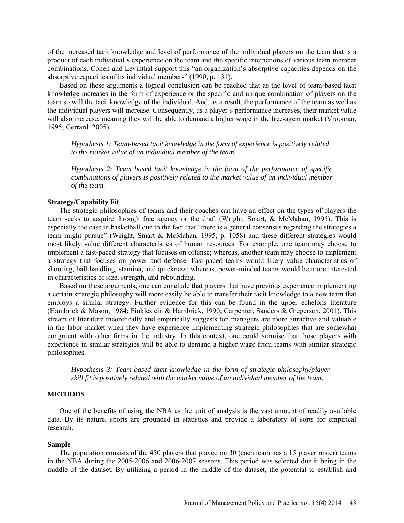of the increased tacit knowledge and level of performance of the individual players on the team that is a product of each individual's experience on the team and the specific interactions of various team member combinations. Cohen and Levinthal support this "an organization's absorptive capacities depends on the absorptive capacities of its individual members" (1990, p. 131).

Based on these arguments a logical conclusion can be reached that as the level of team-based tacit knowledge increases in the form of experience or the specific and unique combination of players on the team so will the tacit knowledge of the individual. And, as a result, the performance of the team as well as the individual players will increase. Consequently, as a player's performance increases, their market value will also increase, meaning they will be able to demand a higher wage in the free-agent market (Vrooman, 1995; Gerrard, 2005).

*Hypothesis 1: Team-based tacit knowledge in the form of experience is positively related to the market value of an individual member of the team.*

*Hypothesis 2: Team based tacit knowledge in the form of the performance of specific combinations of players is positively related to the market value of an individual member of the team.*

## **Strategy/Capability Fit**

The strategic philosophies of teams and their coaches can have an effect on the types of players the team seeks to acquire through free agency or the draft (Wright, Smart, & McMahan, 1995). This is especially the case in basketball due to the fact that "there is a general consensus regarding the strategies a team might pursue" (Wright, Smart & McMahan, 1995, p. 1058) and these different strategies would most likely value different characteristics of human resources. For example, one team may choose to implement a fast-paced strategy that focuses on offense; whereas, another team may choose to implement a strategy that focuses on power and defense. Fast-paced teams would likely value characteristics of shooting, ball handling, stamina, and quickness; whereas, power-minded teams would be more interested in characteristics of size, strength, and rebounding.

Based on these arguments, one can conclude that players that have previous experience implementing a certain strategic philosophy will more easily be able to transfer their tacit knowledge to a new team that employs a similar strategy. Further evidence for this can be found in the upper echelons literature (Hambrick & Mason, 1984; Finklestein & Hambrick, 1990; Carpenter, Sanders & Gregersen, 2001). This stream of literature theoretically and empirically suggests top managers are more attractive and valuable in the labor market when they have experience implementing strategic philosophies that are somewhat congruent with other firms in the industry. In this context, one could surmise that those players with experience in similar strategies will be able to demand a higher wage from teams with similar strategic philosophies.

*Hypothesis 3: Team-based tacit knowledge in the form of strategic-philosophy/playerskill fit is positively related with the market value of an individual member of the team.*

## **METHODS**

One of the benefits of using the NBA as the unit of analysis is the vast amount of readily available data. By its nature, sports are grounded in statistics and provide a laboratory of sorts for empirical research.

#### **Sample**

The population consists of the 450 players that played on 30 (each team has a 15 player roster) teams in the NBA during the 2005-2006 and 2006-2007 seasons. This period was selected due it being in the middle of the dataset. By utilizing a period in the middle of the dataset, the potential to establish and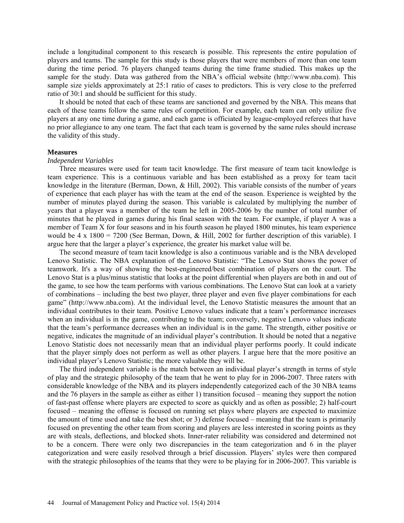include a longitudinal component to this research is possible. This represents the entire population of players and teams. The sample for this study is those players that were members of more than one team during the time period. 76 players changed teams during the time frame studied. This makes up the sample for the study. Data was gathered from the NBA's official website (http://www.nba.com). This sample size yields approximately at 25:1 ratio of cases to predictors. This is very close to the preferred ratio of 30:1 and should be sufficient for this study.

It should be noted that each of these teams are sanctioned and governed by the NBA. This means that each of these teams follow the same rules of competition. For example, each team can only utilize five players at any one time during a game, and each game is officiated by league-employed referees that have no prior allegiance to any one team. The fact that each team is governed by the same rules should increase the validity of this study.

## **Measures**

## *Independent Variables*

Three measures were used for team tacit knowledge. The first measure of team tacit knowledge is team experience. This is a continuous variable and has been established as a proxy for team tacit knowledge in the literature (Berman, Down, & Hill, 2002). This variable consists of the number of years of experience that each player has with the team at the end of the season. Experience is weighted by the number of minutes played during the season. This variable is calculated by multiplying the number of years that a player was a member of the team he left in 2005-2006 by the number of total number of minutes that he played in games during his final season with the team. For example, if player A was a member of Team X for four seasons and in his fourth season he played 1800 minutes, his team experience would be 4 x 1800 = 7200 (See Berman, Down, & Hill, 2002 for further description of this variable). I argue here that the larger a player's experience, the greater his market value will be.

The second measure of team tacit knowledge is also a continuous variable and is the NBA developed Lenovo Statistic. The NBA explanation of the Lenovo Statistic: "The Lenovo Stat shows the power of teamwork. It's a way of showing the best-engineered/best combination of players on the court. The Lenovo Stat is a plus/minus statistic that looks at the point differential when players are both in and out of the game, to see how the team performs with various combinations. The Lenovo Stat can look at a variety of combinations – including the best two player, three player and even five player combinations for each game" (http://www.nba.com). At the individual level, the Lenovo Statistic measures the amount that an individual contributes to their team. Positive Lenovo values indicate that a team's performance increases when an individual is in the game, contributing to the team; conversely, negative Lenovo values indicate that the team's performance decreases when an individual is in the game. The strength, either positive or negative, indicates the magnitude of an individual player's contribution. It should be noted that a negative Lenovo Statistic does not necessarily mean that an individual player performs poorly. It could indicate that the player simply does not perform as well as other players. I argue here that the more positive an individual player's Lenovo Statistic; the more valuable they will be.

The third independent variable is the match between an individual player's strength in terms of style of play and the strategic philosophy of the team that he went to play for in 2006-2007. Three raters with considerable knowledge of the NBA and its players independently categorized each of the 30 NBA teams and the 76 players in the sample as either as either 1) transition focused – meaning they support the notion of fast-past offense where players are expected to score as quickly and as often as possible; 2) half-court focused – meaning the offense is focused on running set plays where players are expected to maximize the amount of time used and take the best shot; or 3) defense focused – meaning that the team is primarily focused on preventing the other team from scoring and players are less interested in scoring points as they are with steals, deflections, and blocked shots. Inner-rater reliability was considered and determined not to be a concern. There were only two discrepancies in the team categorization and 6 in the player categorization and were easily resolved through a brief discussion. Players' styles were then compared with the strategic philosophies of the teams that they were to be playing for in 2006-2007. This variable is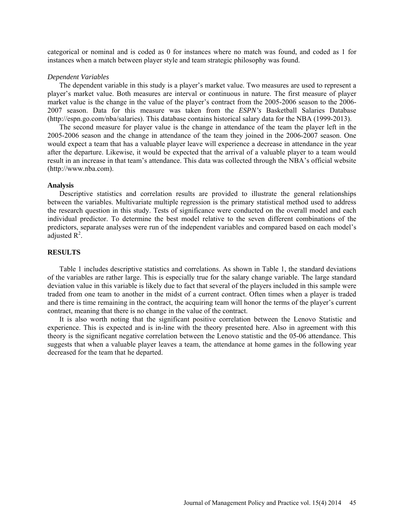categorical or nominal and is coded as 0 for instances where no match was found, and coded as 1 for instances when a match between player style and team strategic philosophy was found.

#### *Dependent Variables*

The dependent variable in this study is a player's market value. Two measures are used to represent a player's market value. Both measures are interval or continuous in nature. The first measure of player market value is the change in the value of the player's contract from the 2005-2006 season to the 2006- 2007 season. Data for this measure was taken from the *ESPN's* Basketball Salaries Database (http://espn.go.com/nba/salaries). This database contains historical salary data for the NBA (1999-2013).

The second measure for player value is the change in attendance of the team the player left in the 2005-2006 season and the change in attendance of the team they joined in the 2006-2007 season. One would expect a team that has a valuable player leave will experience a decrease in attendance in the year after the departure. Likewise, it would be expected that the arrival of a valuable player to a team would result in an increase in that team's attendance. This data was collected through the NBA's official website (http://www.nba.com).

## **Analysis**

Descriptive statistics and correlation results are provided to illustrate the general relationships between the variables. Multivariate multiple regression is the primary statistical method used to address the research question in this study. Tests of significance were conducted on the overall model and each individual predictor. To determine the best model relative to the seven different combinations of the predictors, separate analyses were run of the independent variables and compared based on each model's adjusted  $R^2$ .

## **RESULTS**

Table 1 includes descriptive statistics and correlations. As shown in Table 1, the standard deviations of the variables are rather large. This is especially true for the salary change variable. The large standard deviation value in this variable is likely due to fact that several of the players included in this sample were traded from one team to another in the midst of a current contract. Often times when a player is traded and there is time remaining in the contract, the acquiring team will honor the terms of the player's current contract, meaning that there is no change in the value of the contract.

It is also worth noting that the significant positive correlation between the Lenovo Statistic and experience. This is expected and is in-line with the theory presented here. Also in agreement with this theory is the significant negative correlation between the Lenovo statistic and the 05-06 attendance. This suggests that when a valuable player leaves a team, the attendance at home games in the following year decreased for the team that he departed.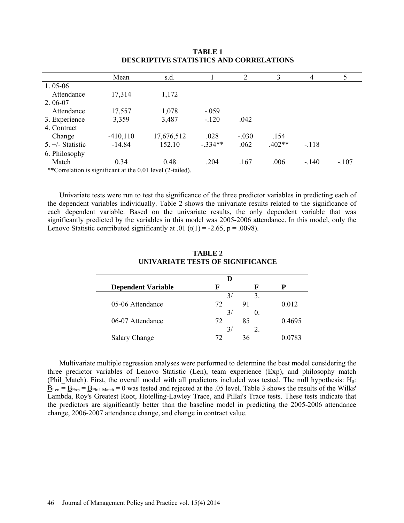|                                                                      | Mean        | s.d.       |           | 2       | 3        | 4       |         |
|----------------------------------------------------------------------|-------------|------------|-----------|---------|----------|---------|---------|
| $1.05 - 06$                                                          |             |            |           |         |          |         |         |
| Attendance                                                           | 17,314      | 1,172      |           |         |          |         |         |
| $2.06-07$                                                            |             |            |           |         |          |         |         |
| Attendance                                                           | 17,557      | 1,078      | $-.059$   |         |          |         |         |
| 3. Experience                                                        | 3,359       | 3,487      | $-.120$   | .042    |          |         |         |
| 4. Contract                                                          |             |            |           |         |          |         |         |
| Change                                                               | $-410, 110$ | 17,676,512 | .028      | $-.030$ | .154     |         |         |
| $5. +/-$ Statistic                                                   | $-14.84$    | 152.10     | $-.334**$ | .062    | $.402**$ | $-.118$ |         |
| 6. Philosophy                                                        |             |            |           |         |          |         |         |
| Match                                                                | 0.34        | 0.48       | .204      | .167    | .006     | $-.140$ | $-.107$ |
| $*$ Correlation is significant at the 0.01 level $(2 \text{ to } 1)$ |             |            |           |         |          |         |         |

**TABLE 1 DESCRIPTIVE STATISTICS AND CORRELATIONS**

Experience is significant at the 0.01 level (2-tailed).

Univariate tests were run to test the significance of the three predictor variables in predicting each of the dependent variables individually. Table 2 shows the univariate results related to the significance of each dependent variable. Based on the univariate results, the only dependent variable that was significantly predicted by the variables in this model was 2005-2006 attendance. In this model, only the Lenovo Statistic contributed significantly at .01 (t(1) = -2.65, p = .0098).

| <b>Dependent Variable</b> | К             | F            | P      |
|---------------------------|---------------|--------------|--------|
|                           | 3,            | 3.           |        |
| 05-06 Attendance          | 72            | 91           | 0.012  |
|                           | $\frac{3}{2}$ | $\mathbf{0}$ |        |
| 06-07 Attendance          | 72            | 85           | 0.4695 |
|                           | 3,            |              |        |
| <b>Salary Change</b>      |               | 36           |        |

## **TABLE 2 UNIVARIATE TESTS OF SIGNIFICANCE**

Multivariate multiple regression analyses were performed to determine the best model considering the three predictor variables of Lenovo Statistic (Len), team experience (Exp), and philosophy match (Phil Match). First, the overall model with all predictors included was tested. The null hypothesis:  $H_0$ :  $\underline{B}_{\text{Len}} = \underline{B}_{\text{Exp}} = \underline{B}_{\text{Phil Match}} = 0$  was tested and rejected at the .05 level. Table 3 shows the results of the Wilks' Lambda, Roy's Greatest Root, Hotelling-Lawley Trace, and Pillai's Trace tests. These tests indicate that the predictors are significantly better than the baseline model in predicting the 2005-2006 attendance change, 2006-2007 attendance change, and change in contract value.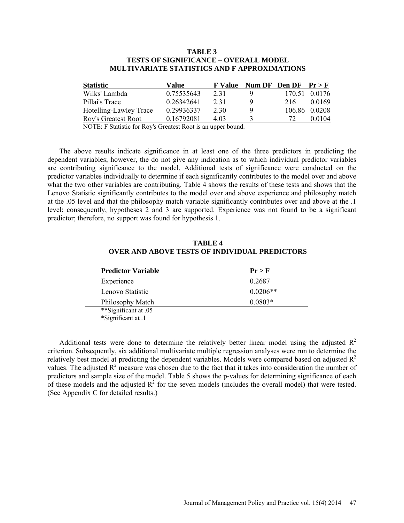## **TABLE 3 TESTS OF SIGNIFICANCE – OVERALL MODEL MULTIVARIATE STATISTICS AND F APPROXIMATIONS**

| <b>Statistic</b>           | Value      | <b>F</b> Value | Num DF Den DF $Pr > F$ |               |
|----------------------------|------------|----------------|------------------------|---------------|
| Wilks' Lambda              | 0.75535643 | 2.31           |                        | 170.51 0.0176 |
| Pillai's Trace             | 0 26342641 | 2.31           | 216                    | 0.0169        |
| Hotelling-Lawley Trace     | 0.29936337 | 2.30           |                        | 106.86 0.0208 |
| <b>Roy's Greatest Root</b> | 0.16792081 | 4.03           | 72                     | 0.0104        |

NOTE: F Statistic for Roy's Greatest Root is an upper bound.

The above results indicate significance in at least one of the three predictors in predicting the dependent variables; however, the do not give any indication as to which individual predictor variables are contributing significance to the model. Additional tests of significance were conducted on the predictor variables individually to determine if each significantly contributes to the model over and above what the two other variables are contributing. Table 4 shows the results of these tests and shows that the Lenovo Statistic significantly contributes to the model over and above experience and philosophy match at the .05 level and that the philosophy match variable significantly contributes over and above at the .1 level; consequently, hypotheses 2 and 3 are supported. Experience was not found to be a significant predictor; therefore, no support was found for hypothesis 1.

| <b>Predictor Variable</b> | Pr > F     |
|---------------------------|------------|
| Experience                | 0.2687     |
| Lenovo Statistic          | $0.0206**$ |
| Philosophy Match          | $0.0803*$  |
| **Significant at .05      |            |
| *Significant at .1        |            |

**TABLE 4 OVER AND ABOVE TESTS OF INDIVIDUAL PREDICTORS**

Additional tests were done to determine the relatively better linear model using the adjusted  $R^2$ criterion. Subsequently, six additional multivariate multiple regression analyses were run to determine the relatively best model at predicting the dependent variables. Models were compared based on adjusted  $R<sup>2</sup>$ values. The adjusted  $R^2$  measure was chosen due to the fact that it takes into consideration the number of predictors and sample size of the model. Table 5 shows the p-values for determining significance of each of these models and the adjusted  $R^2$  for the seven models (includes the overall model) that were tested. (See Appendix C for detailed results.)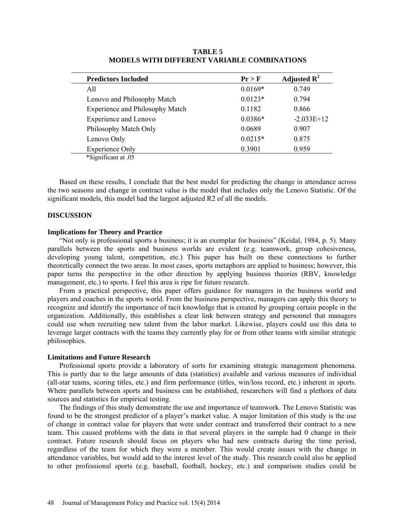| <b>Predictors Included</b>             | Pr > F    | Adjusted $\mathbb{R}^2$ |
|----------------------------------------|-----------|-------------------------|
| All                                    | $0.0169*$ | 0.749                   |
| Lenovo and Philosophy Match            | $0.0123*$ | 0.794                   |
| <b>Experience and Philosophy Match</b> | 0.1182    | 0.866                   |
| <b>Experience and Lenovo</b>           | $0.0386*$ | $-2.033E+12$            |
| Philosophy Match Only                  | 0.0689    | 0.907                   |
| Lenovo Only                            | $0.0215*$ | 0.875                   |
| <b>Experience Only</b>                 | 0.3901    | 0.959                   |
| *Significant at .05                    |           |                         |

**TABLE 5 MODELS WITH DIFFERENT VARIABLE COMBINATIONS**

Based on these results, I conclude that the best model for predicting the change in attendance across the two seasons and change in contract value is the model that includes only the Lenovo Statistic. Of the significant models, this model had the largest adjusted R2 of all the models.

#### **DISCUSSION**

## **Implications for Theory and Practice**

"Not only is professional sports a business; it is an exemplar for business" (Keidal, 1984, p. 5). Many parallels between the sports and business worlds are evident (e.g. teamwork, group cohesiveness, developing young talent, competition, etc.) This paper has built on these connections to further theoretically connect the two areas. In most cases, sports metaphors are applied to business; however, this paper turns the perspective in the other direction by applying business theories (RBV, knowledge management, etc.) to sports. I feel this area is ripe for future research.

From a practical perspective, this paper offers guidance for managers in the business world and players and coaches in the sports world. From the business perspective, managers can apply this theory to recognize and identify the importance of tacit knowledge that is created by grouping certain people in the organization. Additionally, this establishes a clear link between strategy and personnel that managers could use when recruiting new talent from the labor market. Likewise, players could use this data to leverage larger contracts with the teams they currently play for or from other teams with similar strategic philosophies.

#### **Limitations and Future Research**

Professional sports provide a laboratory of sorts for examining strategic management phenomena. This is partly due to the large amounts of data (statistics) available and various measures of individual (all-star teams, scoring titles, etc.) and firm performance (titles, win/loss record, etc.) inherent in sports. Where parallels between sports and business can be established, researchers will find a plethora of data sources and statistics for empirical testing.

The findings of this study demonstrate the use and importance of teamwork. The Lenovo Statistic was found to be the strongest predictor of a player's market value. A major limitation of this study is the use of change in contract value for players that were under contract and transferred their contract to a new team. This caused problems with the data in that several players in the sample had 0 change in their contract. Future research should focus on players who had new contracts during the time period, regardless of the team for which they were a member. This would create issues with the change in attendance variables, but would add to the interest level of the study. This research could also be applied to other professional sports (e.g. baseball, football, hockey, etc.) and comparison studies could be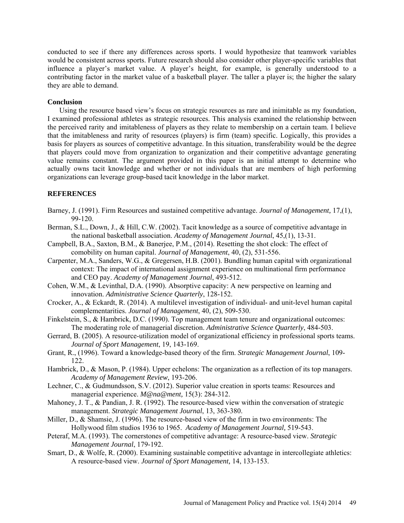conducted to see if there any differences across sports. I would hypothesize that teamwork variables would be consistent across sports. Future research should also consider other player-specific variables that influence a player's market value. A player's height, for example, is generally understood to a contributing factor in the market value of a basketball player. The taller a player is; the higher the salary they are able to demand.

## **Conclusion**

Using the resource based view's focus on strategic resources as rare and inimitable as my foundation, I examined professional athletes as strategic resources. This analysis examined the relationship between the perceived rarity and imitableness of players as they relate to membership on a certain team. I believe that the imitableness and rarity of resources (players) is firm (team) specific. Logically, this provides a basis for players as sources of competitive advantage. In this situation, transferability would be the degree that players could move from organization to organization and their competitive advantage generating value remains constant. The argument provided in this paper is an initial attempt to determine who actually owns tacit knowledge and whether or not individuals that are members of high performing organizations can leverage group-based tacit knowledge in the labor market.

## **REFERENCES**

- Barney, J. (1991). Firm Resources and sustained competitive advantage. *Journal of Management,* 17,(1), 99-120.
- Berman, S.L., Down, J., & Hill, C.W. (2002). Tacit knowledge as a source of competitive advantage in the national basketball association. *Academy of Management Journal*, 45,(1), 13-31.
- Campbell, B.A., Saxton, B.M., & Banerjee, P.M., (2014). Resetting the shot clock: The effect of comobility on human capital. *Journal of Management*, 40, (2), 531-556.
- Carpenter, M.A., Sanders, W.G., & Gregersen, H.B. (2001). Bundling human capital with organizational context: The impact of international assignment experience on multinational firm performance and CEO pay. *Academy of Management Journal*, 493-512.
- Cohen, W.M., & Levinthal, D.A. (1990). Absorptive capacity: A new perspective on learning and innovation. *Administrative Science Quarterly*, 128-152.
- Crocker, A., & Eckardt, R. (2014). A multilevel investigation of individual- and unit-level human capital complementarities. *Journal of Management*, 40, (2), 509-530.
- Finkelstein, S., & Hambrick, D.C. (1990). Top management team tenure and organizational outcomes: The moderating role of managerial discretion. *Administrative Science Quarterly*, 484-503.
- Gerrard, B. (2005). A resource-utilization model of organizational efficiency in professional sports teams. *Journal of Sport Management*, 19, 143-169.
- Grant, R., (1996). Toward a knowledge-based theory of the firm. *Strategic Management Journal*, 109- 122.
- Hambrick, D., & Mason, P. (1984). Upper echelons: The organization as a reflection of its top managers. *Academy of Management Review*, 193-206.
- Lechner, C., & Gudmundsson, S.V. (2012). Superior value creation in sports teams: Resources and managerial experience. *M@na@ment,* 15(3): 284-312.
- Mahoney, J. T., & Pandian, J. R. (1992). The resource-based view within the conversation of strategic management. *Strategic Management Journal*, 13, 363-380.
- Miller, D., & Shamsie, J. (1996). The resource-based view of the firm in two environments: The Hollywood film studios 1936 to 1965. *Academy of Management Journal,* 519-543.
- Peteraf, M.A. (1993). The cornerstones of competitive advantage: A resource-based view. *Strategic Management Journal*, 179-192.
- Smart, D., & Wolfe, R. (2000). Examining sustainable competitive advantage in intercollegiate athletics: A resource-based view. *Journal of Sport Management,* 14, 133-153.